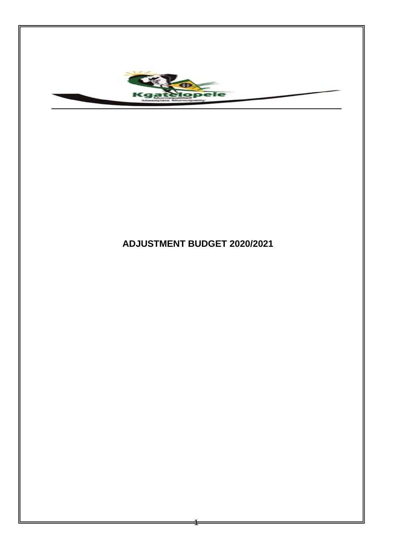

# **ADJUSTMENT BUDGET 2020/2021**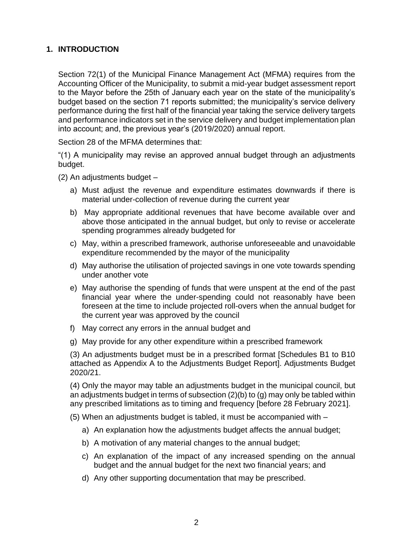### **1. INTRODUCTION**

Section 72(1) of the Municipal Finance Management Act (MFMA) requires from the Accounting Officer of the Municipality, to submit a mid-year budget assessment report to the Mayor before the 25th of January each year on the state of the municipality's budget based on the section 71 reports submitted; the municipality's service delivery performance during the first half of the financial year taking the service delivery targets and performance indicators set in the service delivery and budget implementation plan into account; and, the previous year's (2019/2020) annual report.

Section 28 of the MFMA determines that:

"(1) A municipality may revise an approved annual budget through an adjustments budget.

- (2) An adjustments budget
	- a) Must adjust the revenue and expenditure estimates downwards if there is material under-collection of revenue during the current year
	- b) May appropriate additional revenues that have become available over and above those anticipated in the annual budget, but only to revise or accelerate spending programmes already budgeted for
	- c) May, within a prescribed framework, authorise unforeseeable and unavoidable expenditure recommended by the mayor of the municipality
	- d) May authorise the utilisation of projected savings in one vote towards spending under another vote
	- e) May authorise the spending of funds that were unspent at the end of the past financial year where the under-spending could not reasonably have been foreseen at the time to include projected roll-overs when the annual budget for the current year was approved by the council
	- f) May correct any errors in the annual budget and
	- g) May provide for any other expenditure within a prescribed framework

(3) An adjustments budget must be in a prescribed format [Schedules B1 to B10 attached as Appendix A to the Adjustments Budget Report]. Adjustments Budget 2020/21.

(4) Only the mayor may table an adjustments budget in the municipal council, but an adjustments budget in terms of subsection (2)(b) to (g) may only be tabled within any prescribed limitations as to timing and frequency [before 28 February 2021].

(5) When an adjustments budget is tabled, it must be accompanied with –

- a) An explanation how the adjustments budget affects the annual budget;
- b) A motivation of any material changes to the annual budget;
- c) An explanation of the impact of any increased spending on the annual budget and the annual budget for the next two financial years; and
- d) Any other supporting documentation that may be prescribed.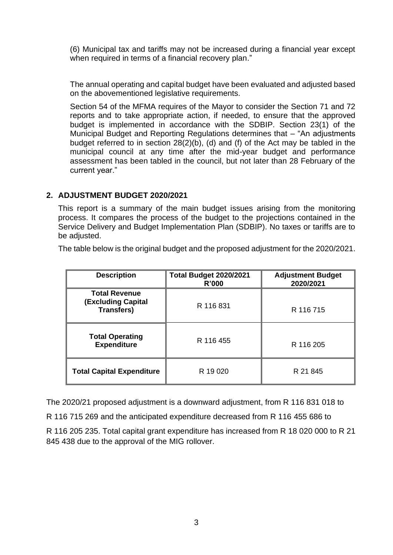(6) Municipal tax and tariffs may not be increased during a financial year except when required in terms of a financial recovery plan."

The annual operating and capital budget have been evaluated and adjusted based on the abovementioned legislative requirements.

Section 54 of the MFMA requires of the Mayor to consider the Section 71 and 72 reports and to take appropriate action, if needed, to ensure that the approved budget is implemented in accordance with the SDBIP. Section 23(1) of the Municipal Budget and Reporting Regulations determines that – "An adjustments budget referred to in section 28(2)(b), (d) and (f) of the Act may be tabled in the municipal council at any time after the mid-year budget and performance assessment has been tabled in the council, but not later than 28 February of the current year."

### **2. ADJUSTMENT BUDGET 2020/2021**

This report is a summary of the main budget issues arising from the monitoring process. It compares the process of the budget to the projections contained in the Service Delivery and Budget Implementation Plan (SDBIP). No taxes or tariffs are to be adjusted.

The table below is the original budget and the proposed adjustment for the 2020/2021.

| <b>Description</b>                                                     | <b>Total Budget 2020/2021</b><br>R'000 | <b>Adjustment Budget</b><br>2020/2021 |
|------------------------------------------------------------------------|----------------------------------------|---------------------------------------|
| <b>Total Revenue</b><br><b>(Excluding Capital</b><br><b>Transfers)</b> | R 116 831                              | R 116 715                             |
| <b>Total Operating</b><br><b>Expenditure</b>                           | R 116 455                              | R 116 205                             |
| <b>Total Capital Expenditure</b>                                       | R 19 020                               | R 21 845                              |

The 2020/21 proposed adjustment is a downward adjustment, from R 116 831 018 to

R 116 715 269 and the anticipated expenditure decreased from R 116 455 686 to

R 116 205 235. Total capital grant expenditure has increased from R 18 020 000 to R 21 845 438 due to the approval of the MIG rollover.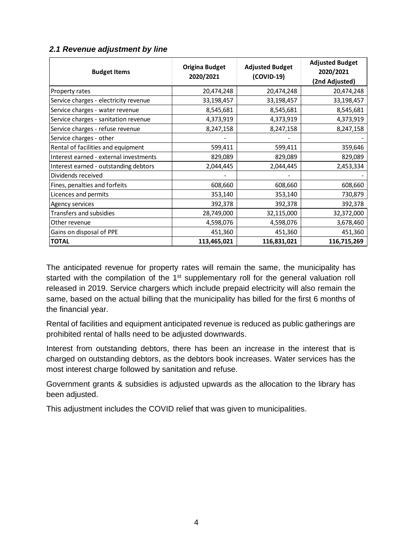| <b>Budget Items</b>                    | <b>Origina Budget</b><br>2020/2021 | <b>Adjusted Budget</b><br>(COVID-19) | <b>Adjusted Budget</b><br>2020/2021<br>(2nd Adjusted) |
|----------------------------------------|------------------------------------|--------------------------------------|-------------------------------------------------------|
| Property rates                         | 20,474,248                         | 20,474,248                           | 20,474,248                                            |
| Service charges - electricity revenue  | 33,198,457                         | 33,198,457                           | 33,198,457                                            |
| Service charges - water revenue        | 8,545,681                          | 8,545,681                            | 8,545,681                                             |
| Service charges - sanitation revenue   | 4,373,919                          | 4,373,919                            | 4,373,919                                             |
| Service charges - refuse revenue       | 8,247,158                          | 8,247,158                            | 8,247,158                                             |
| Service charges - other                |                                    |                                      |                                                       |
| Rental of facilities and equipment     | 599,411                            | 599,411                              | 359,646                                               |
| Interest earned - external investments | 829,089                            | 829,089                              | 829,089                                               |
| Interest earned - outstanding debtors  | 2,044,445                          | 2,044,445                            | 2,453,334                                             |
| Dividends received                     |                                    |                                      |                                                       |
| Fines, penalties and forfeits          | 608,660                            | 608,660                              | 608,660                                               |
| Licences and permits                   | 353,140                            | 353,140                              | 730,879                                               |
| Agency services                        | 392,378                            | 392,378                              | 392,378                                               |
| Transfers and subsidies                | 28,749,000                         | 32,115,000                           | 32,372,000                                            |
| Other revenue                          | 4,598,076                          | 4,598,076                            | 3,678,460                                             |
| Gains on disposal of PPE               | 451,360                            | 451,360                              | 451,360                                               |
| <b>TOTAL</b>                           | 113,465,021                        | 116,831,021                          | 116,715,269                                           |

### *2.1 Revenue adjustment by line*

The anticipated revenue for property rates will remain the same, the municipality has started with the compilation of the 1<sup>st</sup> supplementary roll for the general valuation roll released in 2019. Service chargers which include prepaid electricity will also remain the same, based on the actual billing that the municipality has billed for the first 6 months of the financial year.

Rental of facilities and equipment anticipated revenue is reduced as public gatherings are prohibited rental of halls need to be adjusted downwards.

Interest from outstanding debtors, there has been an increase in the interest that is charged on outstanding debtors, as the debtors book increases. Water services has the most interest charge followed by sanitation and refuse.

Government grants & subsidies is adjusted upwards as the allocation to the library has been adjusted.

This adjustment includes the COVID relief that was given to municipalities.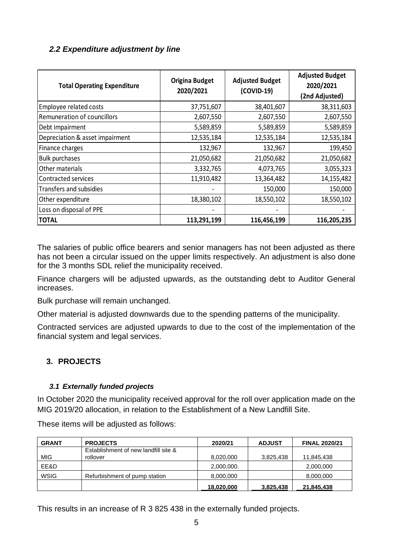## *2.2 Expenditure adjustment by line*

| <b>Total Operating Expenditure</b> | <b>Origina Budget</b><br>2020/2021 | <b>Adjusted Budget</b><br>(COVID-19) | <b>Adjusted Budget</b><br>2020/2021<br>(2nd Adjusted) |
|------------------------------------|------------------------------------|--------------------------------------|-------------------------------------------------------|
| Employee related costs             | 37,751,607                         | 38,401,607                           | 38,311,603                                            |
| Remuneration of councillors        | 2,607,550                          | 2,607,550                            | 2,607,550                                             |
| Debt impairment                    | 5,589,859                          | 5,589,859                            | 5,589,859                                             |
| Depreciation & asset impairment    | 12,535,184                         | 12,535,184                           | 12,535,184                                            |
| Finance charges                    | 132,967                            | 132,967                              | 199,450                                               |
| <b>Bulk purchases</b>              | 21,050,682                         | 21,050,682                           | 21,050,682                                            |
| Other materials                    | 3,332,765                          | 4,073,765                            | 3,055,323                                             |
| <b>Contracted services</b>         | 11,910,482                         | 13,364,482                           | 14,155,482                                            |
| <b>Transfers and subsidies</b>     |                                    | 150,000                              | 150,000                                               |
| Other expenditure                  | 18,380,102                         | 18,550,102                           | 18,550,102                                            |
| Loss on disposal of PPE            |                                    |                                      |                                                       |
| <b>TOTAL</b>                       | 113,291,199                        | 116,456,199                          | 116,205,235                                           |

The salaries of public office bearers and senior managers has not been adjusted as there has not been a circular issued on the upper limits respectively. An adjustment is also done for the 3 months SDL relief the municipality received.

Finance chargers will be adjusted upwards, as the outstanding debt to Auditor General increases.

Bulk purchase will remain unchanged.

Other material is adjusted downwards due to the spending patterns of the municipality.

Contracted services are adjusted upwards to due to the cost of the implementation of the financial system and legal services.

### **3. PROJECTS**

#### *3.1 Externally funded projects*

In October 2020 the municipality received approval for the roll over application made on the MIG 2019/20 allocation, in relation to the Establishment of a New Landfill Site.

These items will be adjusted as follows:

| <b>GRANT</b> | <b>PROJECTS</b>                      | 2020/21    | <b>ADJUST</b> | <b>FINAL 2020/21</b> |
|--------------|--------------------------------------|------------|---------------|----------------------|
|              | Establishment of new landfill site & |            |               |                      |
| <b>MIG</b>   | rollover                             | 8,020,000  | 3,825,438     | 11,845,438           |
| EE&D         |                                      | 2,000,000. |               | 2,000,000            |
| <b>WSIG</b>  | Refurbishment of pump station        | 8,000,000  |               | 8,000,000            |
|              |                                      | 18,020,000 | 3,825,438     | 21,845,438           |

This results in an increase of R 3 825 438 in the externally funded projects.